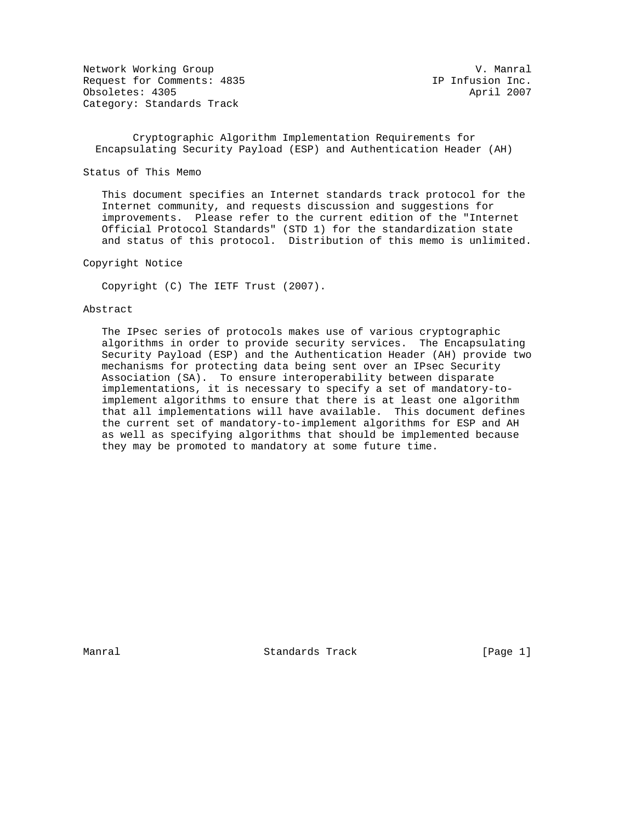Network Working Group (1993) 1999 Metwork Working Group (1994) 1999 Metwork Working Group (1995) 1999 Metwork<br>Request for Comments: 1935 (1999) 1999 Metal (1999) 1999 Metal (1999) 1999 Metal (1999) 1999 Metal (1999) 199 Request for Comments: 4835 Obsoletes: 4305 April 2007 Category: Standards Track

 Cryptographic Algorithm Implementation Requirements for Encapsulating Security Payload (ESP) and Authentication Header (AH)

Status of This Memo

 This document specifies an Internet standards track protocol for the Internet community, and requests discussion and suggestions for improvements. Please refer to the current edition of the "Internet Official Protocol Standards" (STD 1) for the standardization state and status of this protocol. Distribution of this memo is unlimited.

Copyright Notice

Copyright (C) The IETF Trust (2007).

### Abstract

 The IPsec series of protocols makes use of various cryptographic algorithms in order to provide security services. The Encapsulating Security Payload (ESP) and the Authentication Header (AH) provide two mechanisms for protecting data being sent over an IPsec Security Association (SA). To ensure interoperability between disparate implementations, it is necessary to specify a set of mandatory-to implement algorithms to ensure that there is at least one algorithm that all implementations will have available. This document defines the current set of mandatory-to-implement algorithms for ESP and AH as well as specifying algorithms that should be implemented because they may be promoted to mandatory at some future time.

Manral Standards Track [Page 1]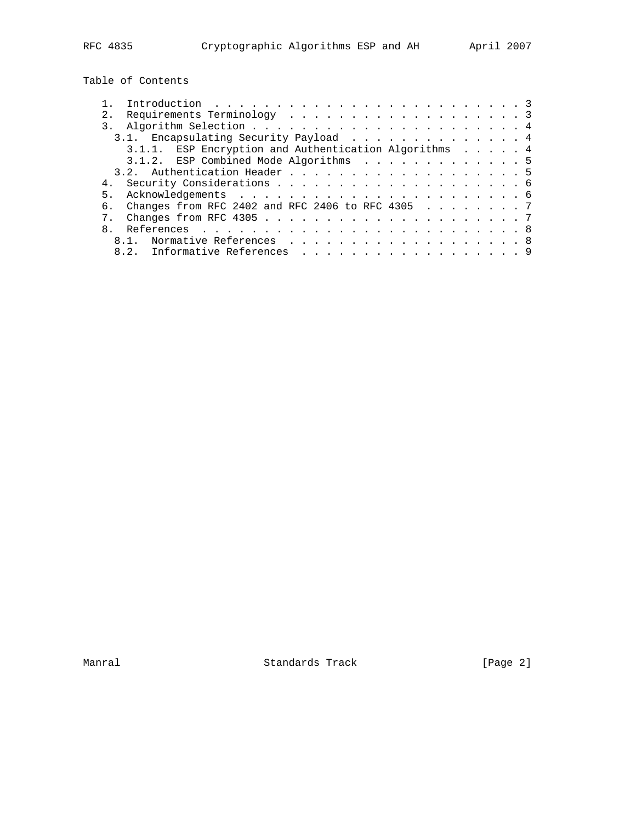Table of Contents

| 2.1 |                                                           |  |  |  |  |  |  |  |  |  |  |  |
|-----|-----------------------------------------------------------|--|--|--|--|--|--|--|--|--|--|--|
|     |                                                           |  |  |  |  |  |  |  |  |  |  |  |
|     | 3.1. Encapsulating Security Payload 4                     |  |  |  |  |  |  |  |  |  |  |  |
|     | 3.1.1. ESP Encryption and Authentication Algorithms 4     |  |  |  |  |  |  |  |  |  |  |  |
|     | 3.1.2. ESP Combined Mode Algorithms 5                     |  |  |  |  |  |  |  |  |  |  |  |
|     | 3.2. Authentication Header 5                              |  |  |  |  |  |  |  |  |  |  |  |
|     |                                                           |  |  |  |  |  |  |  |  |  |  |  |
|     |                                                           |  |  |  |  |  |  |  |  |  |  |  |
| რ.  | Changes from RFC 2402 and RFC 2406 to RFC 4305 $\ldots$ 7 |  |  |  |  |  |  |  |  |  |  |  |
|     |                                                           |  |  |  |  |  |  |  |  |  |  |  |
|     |                                                           |  |  |  |  |  |  |  |  |  |  |  |
|     | 8.1. Normative References 8                               |  |  |  |  |  |  |  |  |  |  |  |
|     | 8.2. Informative References 9                             |  |  |  |  |  |  |  |  |  |  |  |
|     |                                                           |  |  |  |  |  |  |  |  |  |  |  |

Manral **Manral** Standards Track **Exercise 19** [Page 2]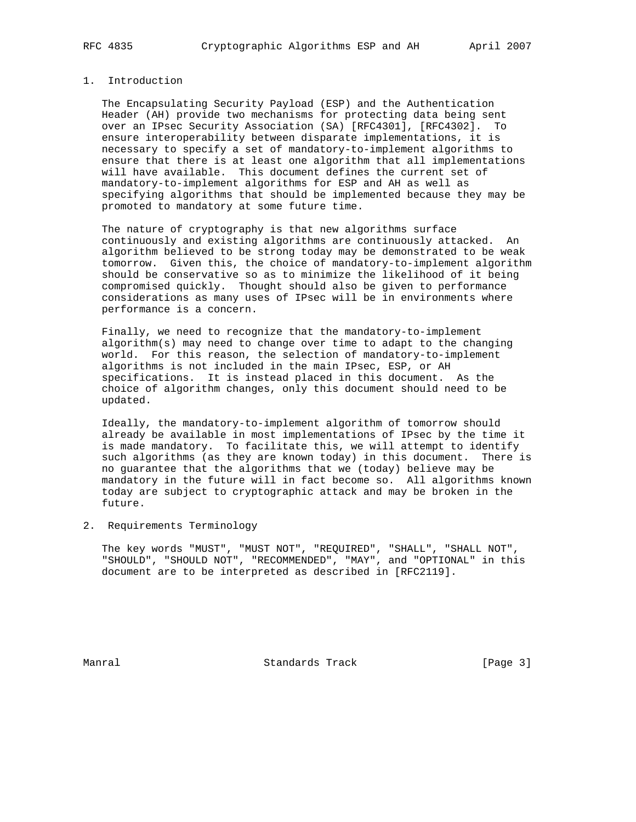# 1. Introduction

 The Encapsulating Security Payload (ESP) and the Authentication Header (AH) provide two mechanisms for protecting data being sent over an IPsec Security Association (SA) [RFC4301], [RFC4302]. To ensure interoperability between disparate implementations, it is necessary to specify a set of mandatory-to-implement algorithms to ensure that there is at least one algorithm that all implementations will have available. This document defines the current set of mandatory-to-implement algorithms for ESP and AH as well as specifying algorithms that should be implemented because they may be promoted to mandatory at some future time.

 The nature of cryptography is that new algorithms surface continuously and existing algorithms are continuously attacked. An algorithm believed to be strong today may be demonstrated to be weak tomorrow. Given this, the choice of mandatory-to-implement algorithm should be conservative so as to minimize the likelihood of it being compromised quickly. Thought should also be given to performance considerations as many uses of IPsec will be in environments where performance is a concern.

 Finally, we need to recognize that the mandatory-to-implement algorithm(s) may need to change over time to adapt to the changing world. For this reason, the selection of mandatory-to-implement algorithms is not included in the main IPsec, ESP, or AH specifications. It is instead placed in this document. As the choice of algorithm changes, only this document should need to be updated.

 Ideally, the mandatory-to-implement algorithm of tomorrow should already be available in most implementations of IPsec by the time it is made mandatory. To facilitate this, we will attempt to identify such algorithms (as they are known today) in this document. There is no guarantee that the algorithms that we (today) believe may be mandatory in the future will in fact become so. All algorithms known today are subject to cryptographic attack and may be broken in the future.

### 2. Requirements Terminology

 The key words "MUST", "MUST NOT", "REQUIRED", "SHALL", "SHALL NOT", "SHOULD", "SHOULD NOT", "RECOMMENDED", "MAY", and "OPTIONAL" in this document are to be interpreted as described in [RFC2119].

Manral **Manral** Standards Track **Example 2** [Page 3]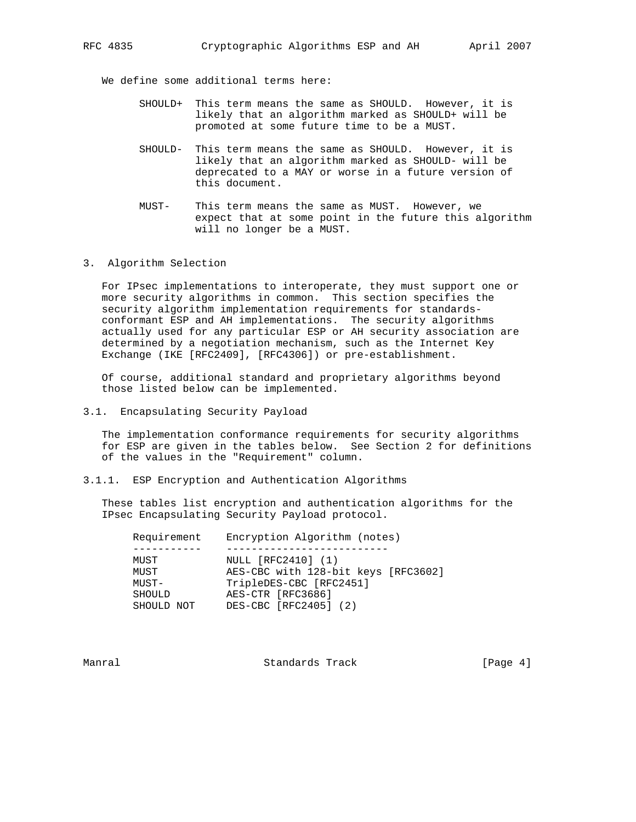We define some additional terms here:

- SHOULD+ This term means the same as SHOULD. However, it is likely that an algorithm marked as SHOULD+ will be promoted at some future time to be a MUST.
- SHOULD- This term means the same as SHOULD. However, it is likely that an algorithm marked as SHOULD- will be deprecated to a MAY or worse in a future version of this document.
- MUST- This term means the same as MUST. However, we expect that at some point in the future this algorithm will no longer be a MUST.
- 3. Algorithm Selection

 For IPsec implementations to interoperate, they must support one or more security algorithms in common. This section specifies the security algorithm implementation requirements for standards conformant ESP and AH implementations. The security algorithms actually used for any particular ESP or AH security association are determined by a negotiation mechanism, such as the Internet Key Exchange (IKE [RFC2409], [RFC4306]) or pre-establishment.

 Of course, additional standard and proprietary algorithms beyond those listed below can be implemented.

3.1. Encapsulating Security Payload

 The implementation conformance requirements for security algorithms for ESP are given in the tables below. See Section 2 for definitions of the values in the "Requirement" column.

3.1.1. ESP Encryption and Authentication Algorithms

 These tables list encryption and authentication algorithms for the IPsec Encapsulating Security Payload protocol.

| Requirement | Encryption Algorithm (notes)        |
|-------------|-------------------------------------|
|             |                                     |
| MUST        | NULL [RFC2410] (1)                  |
| MUST        | AES-CBC with 128-bit keys [RFC3602] |
| MUST-       | TripleDES-CBC [RFC2451]             |
| SHOULD      | AES-CTR [RFC3686]                   |
| SHOULD NOT  | DES-CBC [RFC2405] (2)               |
|             |                                     |

Manral **Manral** Standards Track **Example 2** [Page 4]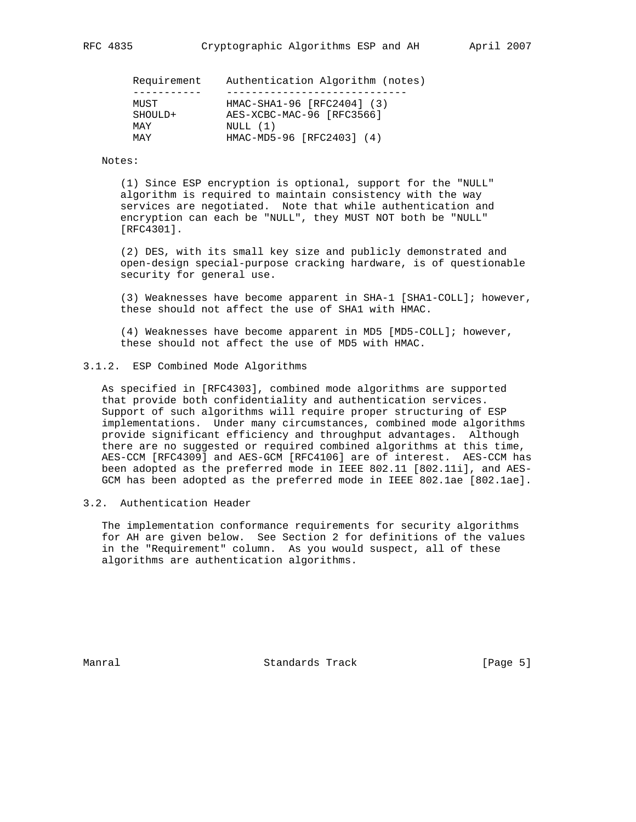| Requirement | Authentication Algorithm (notes) |
|-------------|----------------------------------|
|             |                                  |
| MUST        | HMAC-SHA1-96 [RFC2404] (3)       |
| SHOULD+     | AES-XCBC-MAC-96 [RFC3566]        |
| MAY         | NULL(1)                          |
| MAY         | HMAC-MD5-96 [RFC2403] (4)        |

#### Notes:

 (1) Since ESP encryption is optional, support for the "NULL" algorithm is required to maintain consistency with the way services are negotiated. Note that while authentication and encryption can each be "NULL", they MUST NOT both be "NULL" [RFC4301].

 (2) DES, with its small key size and publicly demonstrated and open-design special-purpose cracking hardware, is of questionable security for general use.

 (3) Weaknesses have become apparent in SHA-1 [SHA1-COLL]; however, these should not affect the use of SHA1 with HMAC.

 (4) Weaknesses have become apparent in MD5 [MD5-COLL]; however, these should not affect the use of MD5 with HMAC.

## 3.1.2. ESP Combined Mode Algorithms

 As specified in [RFC4303], combined mode algorithms are supported that provide both confidentiality and authentication services. Support of such algorithms will require proper structuring of ESP implementations. Under many circumstances, combined mode algorithms provide significant efficiency and throughput advantages. Although there are no suggested or required combined algorithms at this time, AES-CCM [RFC4309] and AES-GCM [RFC4106] are of interest. AES-CCM has been adopted as the preferred mode in IEEE 802.11 [802.11i], and AES- GCM has been adopted as the preferred mode in IEEE 802.1ae [802.1ae].

# 3.2. Authentication Header

 The implementation conformance requirements for security algorithms for AH are given below. See Section 2 for definitions of the values in the "Requirement" column. As you would suspect, all of these algorithms are authentication algorithms.

Manral Standards Track [Page 5]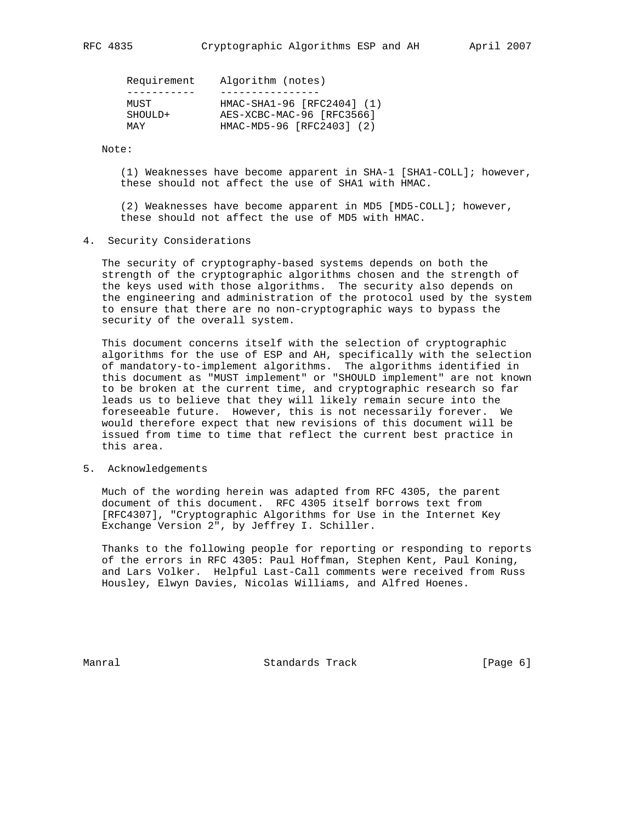|                                                                                  | Requirement | Algorithm (notes)          |
|----------------------------------------------------------------------------------|-------------|----------------------------|
|                                                                                  |             |                            |
| MUST<br>AES-XCBC-MAC-96 [RFC3566]<br>SHOULD+<br>HMAC-MD5-96 [RFC2403] (2)<br>MAY |             | HMAC-SHA1-96 [RFC2404] (1) |

Note:

 (1) Weaknesses have become apparent in SHA-1 [SHA1-COLL]; however, these should not affect the use of SHA1 with HMAC.

 (2) Weaknesses have become apparent in MD5 [MD5-COLL]; however, these should not affect the use of MD5 with HMAC.

4. Security Considerations

 The security of cryptography-based systems depends on both the strength of the cryptographic algorithms chosen and the strength of the keys used with those algorithms. The security also depends on the engineering and administration of the protocol used by the system to ensure that there are no non-cryptographic ways to bypass the security of the overall system.

 This document concerns itself with the selection of cryptographic algorithms for the use of ESP and AH, specifically with the selection of mandatory-to-implement algorithms. The algorithms identified in this document as "MUST implement" or "SHOULD implement" are not known to be broken at the current time, and cryptographic research so far leads us to believe that they will likely remain secure into the foreseeable future. However, this is not necessarily forever. We would therefore expect that new revisions of this document will be issued from time to time that reflect the current best practice in this area.

5. Acknowledgements

 Much of the wording herein was adapted from RFC 4305, the parent document of this document. RFC 4305 itself borrows text from [RFC4307], "Cryptographic Algorithms for Use in the Internet Key Exchange Version 2", by Jeffrey I. Schiller.

 Thanks to the following people for reporting or responding to reports of the errors in RFC 4305: Paul Hoffman, Stephen Kent, Paul Koning, and Lars Volker. Helpful Last-Call comments were received from Russ Housley, Elwyn Davies, Nicolas Williams, and Alfred Hoenes.

Manral **Manral** Standards Track **Example 2018** [Page 6]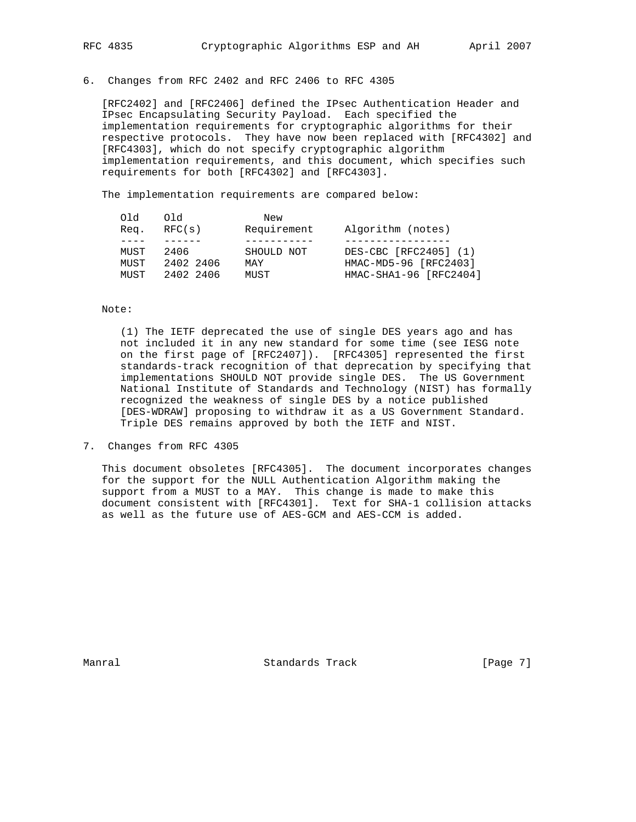6. Changes from RFC 2402 and RFC 2406 to RFC 4305

 [RFC2402] and [RFC2406] defined the IPsec Authentication Header and IPsec Encapsulating Security Payload. Each specified the implementation requirements for cryptographic algorithms for their respective protocols. They have now been replaced with [RFC4302] and [RFC4303], which do not specify cryptographic algorithm implementation requirements, and this document, which specifies such requirements for both [RFC4302] and [RFC4303].

The implementation requirements are compared below:

| D LO<br>6 F O<br>New<br>Requirement<br>Algorithm (notes)<br>RFC(s)<br>Reg. |                        |
|----------------------------------------------------------------------------|------------------------|
|                                                                            |                        |
| DES-CBC [RFC2405] (1)<br>SHOULD NOT<br>MUST<br>2406                        |                        |
| HMAC-MD5-96 [RFC2403]<br>2402 2406<br>MUST<br>MAY                          |                        |
| 2402 2406<br>MUST<br>MUST                                                  | HMAC-SHA1-96 [RFC2404] |

Note:

 (1) The IETF deprecated the use of single DES years ago and has not included it in any new standard for some time (see IESG note on the first page of [RFC2407]). [RFC4305] represented the first standards-track recognition of that deprecation by specifying that implementations SHOULD NOT provide single DES. The US Government National Institute of Standards and Technology (NIST) has formally recognized the weakness of single DES by a notice published [DES-WDRAW] proposing to withdraw it as a US Government Standard. Triple DES remains approved by both the IETF and NIST.

7. Changes from RFC 4305

 This document obsoletes [RFC4305]. The document incorporates changes for the support for the NULL Authentication Algorithm making the support from a MUST to a MAY. This change is made to make this document consistent with [RFC4301]. Text for SHA-1 collision attacks as well as the future use of AES-GCM and AES-CCM is added.

Manral Standards Track [Page 7]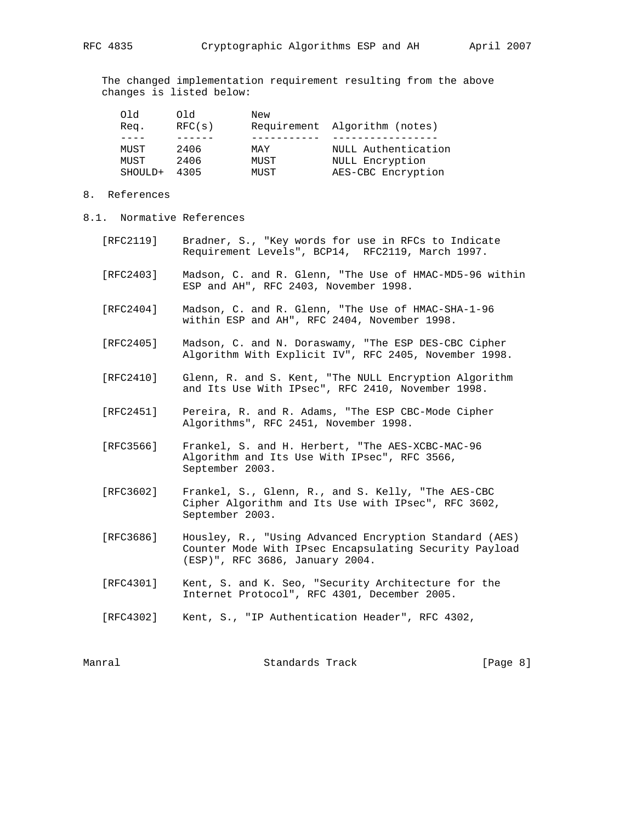The changed implementation requirement resulting from the above changes is listed below:

| Old     | Old    | New  |                               |
|---------|--------|------|-------------------------------|
| Req.    | RFC(s) |      | Requirement Algorithm (notes) |
|         |        |      |                               |
| MUST    | 2406   | MAY  | NULL Authentication           |
| MUST    | 2406   | MUST | NULL Encryption               |
| SHOULD+ | 4305   | MUST | AES-CBC Encryption            |

- 8. References
- 8.1. Normative References
	- [RFC2119] Bradner, S., "Key words for use in RFCs to Indicate Requirement Levels", BCP14, RFC2119, March 1997.
	- [RFC2403] Madson, C. and R. Glenn, "The Use of HMAC-MD5-96 within ESP and AH", RFC 2403, November 1998.
	- [RFC2404] Madson, C. and R. Glenn, "The Use of HMAC-SHA-1-96 within ESP and AH", RFC 2404, November 1998.
	- [RFC2405] Madson, C. and N. Doraswamy, "The ESP DES-CBC Cipher Algorithm With Explicit IV", RFC 2405, November 1998.
	- [RFC2410] Glenn, R. and S. Kent, "The NULL Encryption Algorithm and Its Use With IPsec", RFC 2410, November 1998.
	- [RFC2451] Pereira, R. and R. Adams, "The ESP CBC-Mode Cipher Algorithms", RFC 2451, November 1998.
	- [RFC3566] Frankel, S. and H. Herbert, "The AES-XCBC-MAC-96 Algorithm and Its Use With IPsec", RFC 3566, September 2003.
	- [RFC3602] Frankel, S., Glenn, R., and S. Kelly, "The AES-CBC Cipher Algorithm and Its Use with IPsec", RFC 3602, September 2003.
	- [RFC3686] Housley, R., "Using Advanced Encryption Standard (AES) Counter Mode With IPsec Encapsulating Security Payload (ESP)", RFC 3686, January 2004.
	- [RFC4301] Kent, S. and K. Seo, "Security Architecture for the Internet Protocol", RFC 4301, December 2005.
	- [RFC4302] Kent, S., "IP Authentication Header", RFC 4302,

| Manral | Standards Track | [Page 8] |  |
|--------|-----------------|----------|--|
|        |                 |          |  |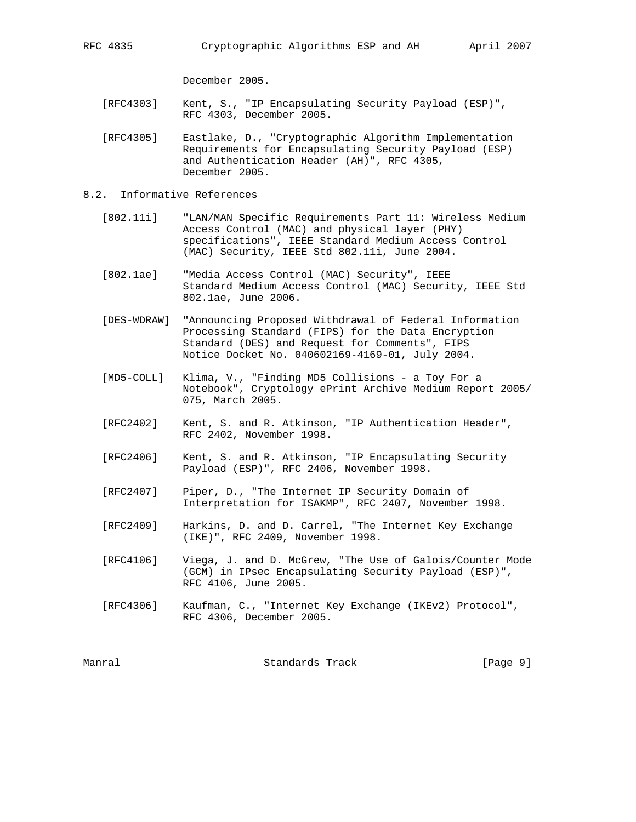December 2005.

- [RFC4303] Kent, S., "IP Encapsulating Security Payload (ESP)", RFC 4303, December 2005.
- [RFC4305] Eastlake, D., "Cryptographic Algorithm Implementation Requirements for Encapsulating Security Payload (ESP) and Authentication Header (AH)", RFC 4305, December 2005.
- 8.2. Informative References
- [802.11i] "LAN/MAN Specific Requirements Part 11: Wireless Medium Access Control (MAC) and physical layer (PHY) specifications", IEEE Standard Medium Access Control (MAC) Security, IEEE Std 802.11i, June 2004.
	- [802.1ae] "Media Access Control (MAC) Security", IEEE Standard Medium Access Control (MAC) Security, IEEE Std 802.1ae, June 2006.
	- [DES-WDRAW] "Announcing Proposed Withdrawal of Federal Information Processing Standard (FIPS) for the Data Encryption Standard (DES) and Request for Comments", FIPS Notice Docket No. 040602169-4169-01, July 2004.
	- [MD5-COLL] Klima, V., "Finding MD5 Collisions a Toy For a Notebook", Cryptology ePrint Archive Medium Report 2005/ 075, March 2005.
	- [RFC2402] Kent, S. and R. Atkinson, "IP Authentication Header", RFC 2402, November 1998.
	- [RFC2406] Kent, S. and R. Atkinson, "IP Encapsulating Security Payload (ESP)", RFC 2406, November 1998.
	- [RFC2407] Piper, D., "The Internet IP Security Domain of Interpretation for ISAKMP", RFC 2407, November 1998.
	- [RFC2409] Harkins, D. and D. Carrel, "The Internet Key Exchange (IKE)", RFC 2409, November 1998.
	- [RFC4106] Viega, J. and D. McGrew, "The Use of Galois/Counter Mode (GCM) in IPsec Encapsulating Security Payload (ESP)", RFC 4106, June 2005.
	- [RFC4306] Kaufman, C., "Internet Key Exchange (IKEv2) Protocol", RFC 4306, December 2005.

| Manral<br>Standards Track | [Page 9] |  |  |
|---------------------------|----------|--|--|
|---------------------------|----------|--|--|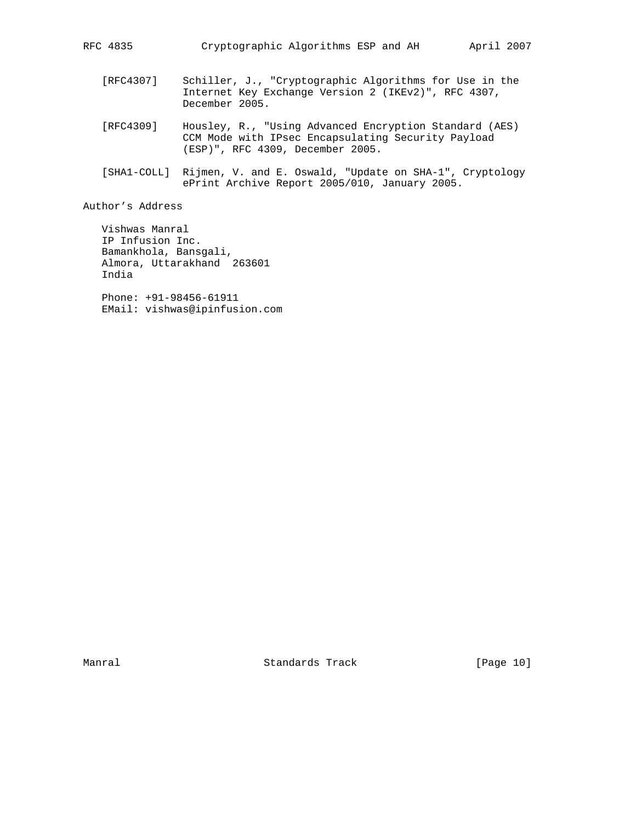- [RFC4307] Schiller, J., "Cryptographic Algorithms for Use in the Internet Key Exchange Version 2 (IKEv2)", RFC 4307, December 2005.
- [RFC4309] Housley, R., "Using Advanced Encryption Standard (AES) CCM Mode with IPsec Encapsulating Security Payload (ESP)", RFC 4309, December 2005.
- [SHA1-COLL] Rijmen, V. and E. Oswald, "Update on SHA-1", Cryptology ePrint Archive Report 2005/010, January 2005.

Author's Address

 Vishwas Manral IP Infusion Inc. Bamankhola, Bansgali, Almora, Uttarakhand 263601 India

 Phone: +91-98456-61911 EMail: vishwas@ipinfusion.com

Manral Manral Standards Track [Page 10]